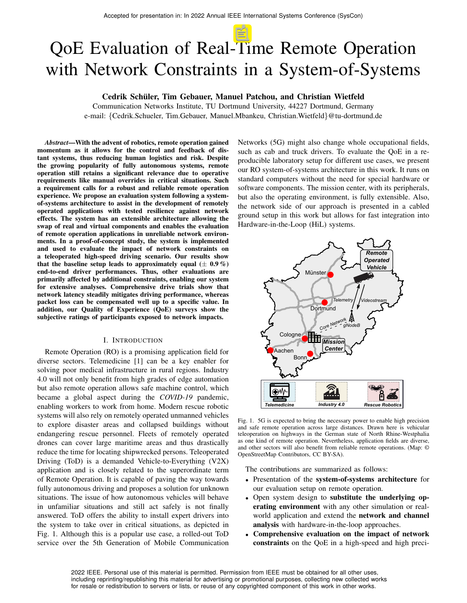# QoE Evaluation of Real-Time Remote Operation with Network Constraints in a System-of-Systems

# Cedrik Schüler, Tim Gebauer, Manuel Patchou, and Christian Wietfeld

Communication Networks Institute, TU Dortmund University, 44227 Dortmund, Germany e-mail: {Cedrik.Schueler, Tim.Gebauer, Manuel.Mbankeu, Christian.Wietfeld}@tu-dortmund.de

*Abstract*—With the advent of robotics, remote operation gained momentum as it allows for the control and feedback of distant systems, thus reducing human logistics and risk. Despite the growing popularity of fully autonomous systems, remote operation still retains a significant relevance due to operative requirements like manual overrides in critical situations. Such a requirement calls for a robust and reliable remote operation experience. We propose an evaluation system following a systemof-systems architecture to assist in the development of remotely operated applications with tested resilience against network effects. The system has an extensible architecture allowing the swap of real and virtual components and enables the evaluation of remote operation applications in unreliable network environments. In a proof-of-concept study, the system is implemented and used to evaluate the impact of network constraints on a teleoperated high-speed driving scenario. Our results show that the baseline setup leads to approximately equal  $(\pm 0.9\%)$ end-to-end driver performances. Thus, other evaluations are primarily affected by additional constraints, enabling our system for extensive analyses. Comprehensive drive trials show that network latency steadily mitigates driving performance, whereas packet loss can be compensated well up to a specific value. In addition, our Quality of Experience (QoE) surveys show the subjective ratings of participants exposed to network impacts.

#### I. INTRODUCTION

Remote Operation (RO) is a promising application field for diverse sectors. Telemedicine [1] can be a key enabler for solving poor medical infrastructure in rural regions. Industry 4.0 will not only benefit from high grades of edge automation but also remote operation allows safe machine control, which became a global aspect during the *COVID-19* pandemic, enabling workers to work from home. Modern rescue robotic systems will also rely on remotely operated unmanned vehicles to explore disaster areas and collapsed buildings without endangering rescue personnel. Fleets of remotely operated drones can cover large maritime areas and thus drastically reduce the time for locating shipwrecked persons. Teleoperated Driving (ToD) is a demanded Vehicle-to-Everything (V2X) application and is closely related to the superordinate term of Remote Operation. It is capable of paving the way towards fully autonomous driving and proposes a solution for unknown situations. The issue of how autonomous vehicles will behave in unfamiliar situations and still act safely is not finally answered. ToD offers the ability to install expert drivers into the system to take over in critical situations, as depicted in Fig. 1. Although this is a popular use case, a rolled-out ToD service over the 5th Generation of Mobile Communication

Networks (5G) might also change whole occupational fields, such as cab and truck drivers. To evaluate the QoE in a reproducible laboratory setup for different use cases, we present our RO system-of-systems architecture in this work. It runs on standard computers without the need for special hardware or software components. The mission center, with its peripherals, but also the operating environment, is fully extensible. Also, the network side of our approach is presented in a cabled ground setup in this work but allows for fast integration into Hardware-in-the-Loop (HiL) systems.



Fig. 1. 5G is expected to bring the necessary power to enable high precision and safe remote operation across large distances. Drawn here is vehicular teleoperation on highways in the German state of North Rhine-Westphalia as one kind of remote operation. Nevertheless, application fields are diverse, and other sectors will also benefit from reliable remote operations. (Map: © OpenStreetMap Contributors, CC BY-SA).

The contributions are summarized as follows:

- Presentation of the system-of-systems architecture for our evaluation setup on remote operation.
- Open system design to substitute the underlying operating environment with any other simulation or realworld application and extend the network and channel analysis with hardware-in-the-loop approaches.
- Comprehensive evaluation on the impact of network constraints on the QoE in a high-speed and high preci-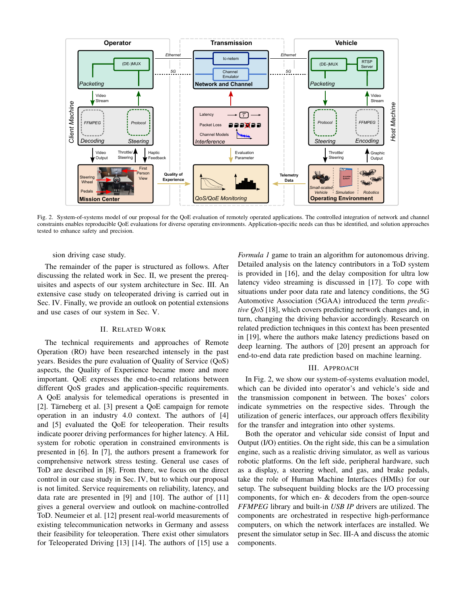

Fig. 2. System-of-systems model of our proposal for the QoE evaluation of remotely operated applications. The controlled integration of network and channel constraints enables reproducible QoE evaluations for diverse operating environments. Application-specific needs can thus be identified, and solution approaches tested to enhance safety and precision.

sion driving case study.

The remainder of the paper is structured as follows. After discussing the related work in Sec. II, we present the prerequisites and aspects of our system architecture in Sec. III. An extensive case study on teleoperated driving is carried out in Sec. IV. Finally, we provide an outlook on potential extensions and use cases of our system in Sec. V.

## II. RELATED WORK

The technical requirements and approaches of Remote Operation (RO) have been researched intensely in the past years. Besides the pure evaluation of Quality of Service (QoS) aspects, the Quality of Experience became more and more important. QoE expresses the end-to-end relations between different QoS grades and application-specific requirements. A QoE analysis for telemedical operations is presented in [2]. Tärneberg et al. [3] present a QoE campaign for remote operation in an industry 4.0 context. The authors of [4] and [5] evaluated the QoE for teleoperation. Their results indicate poorer driving performances for higher latency. A HiL system for robotic operation in constrained environments is presented in [6]. In [7], the authors present a framework for comprehensive network stress testing. General use cases of ToD are described in [8]. From there, we focus on the direct control in our case study in Sec. IV, but to which our proposal is not limited. Service requirements on reliability, latency, and data rate are presented in [9] and [10]. The author of [11] gives a general overview and outlook on machine-controlled ToD. Neumeier et al. [12] present real-world measurements of existing telecommunication networks in Germany and assess their feasibility for teleoperation. There exist other simulators for Teleoperated Driving [13] [14]. The authors of [15] use a

*Formula 1* game to train an algorithm for autonomous driving. Detailed analysis on the latency contributors in a ToD system is provided in [16], and the delay composition for ultra low latency video streaming is discussed in [17]. To cope with situations under poor data rate and latency conditions, the 5G Automotive Association (5GAA) introduced the term *predictive QoS* [18], which covers predicting network changes and, in turn, changing the driving behavior accordingly. Research on related prediction techniques in this context has been presented in [19], where the authors make latency predictions based on deep learning. The authors of [20] present an approach for end-to-end data rate prediction based on machine learning.

#### III. APPROACH

In Fig. 2, we show our system-of-systems evaluation model, which can be divided into operator's and vehicle's side and the transmission component in between. The boxes' colors indicate symmetries on the respective sides. Through the utilization of generic interfaces, our approach offers flexibility for the transfer and integration into other systems.

Both the operator and vehicular side consist of Input and Output (I/O) entities. On the right side, this can be a simulation engine, such as a realistic driving simulator, as well as various robotic platforms. On the left side, peripheral hardware, such as a display, a steering wheel, and gas, and brake pedals, take the role of Human Machine Interfaces (HMIs) for our setup. The subsequent building blocks are the I/O processing components, for which en- & decoders from the open-source *FFMPEG* library and built-in *USB IP* drivers are utilized. The components are orchestrated in respective high-performance computers, on which the network interfaces are installed. We present the simulator setup in Sec. III-A and discuss the atomic components.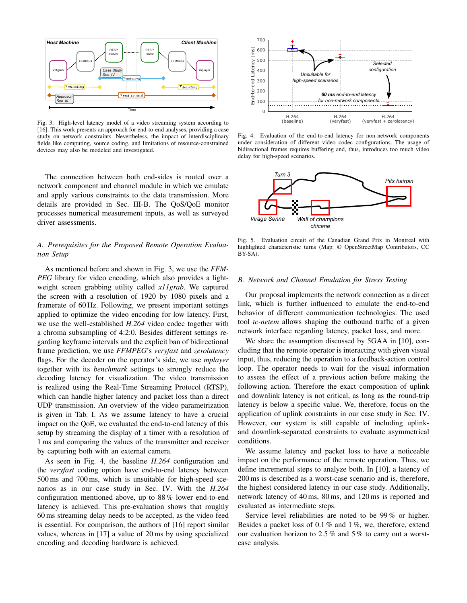

Fig. 3. High-level latency model of a video streaming system according to [16]. This work presents an approach for end-to-end analyses, providing a case study on network constraints. Nevertheless, the impact of interdisciplinary fields like computing, source coding, and limitations of resource-constrained devices may also be modeled and investigated.

The connection between both end-sides is routed over a network component and channel module in which we emulate and apply various constraints to the data transmission. More details are provided in Sec. III-B. The QoS/QoE monitor processes numerical measurement inputs, as well as surveyed driver assessments.

## *A. Prerequisites for the Proposed Remote Operation Evaluation Setup*

As mentioned before and shown in Fig. 3, we use the *FFM-PEG* library for video encoding, which also provides a lightweight screen grabbing utility called *x11grab*. We captured the screen with a resolution of 1920 by 1080 pixels and a framerate of 60 Hz. Following, we present important settings applied to optimize the video encoding for low latency. First, we use the well-established *H.264* video codec together with a chroma subsampling of 4:2:0. Besides different settings regarding keyframe intervals and the explicit ban of bidirectional frame prediction, we use *FFMPEG*'s *veryfast* and *zerolatency* flags. For the decoder on the operator's side, we use *mplayer* together with its *benchmark* settings to strongly reduce the decoding latency for visualization. The video transmission is realized using the Real-Time Streaming Protocol (RTSP), which can handle higher latency and packet loss than a direct UDP transmission. An overview of the video parametrization is given in Tab. I. As we assume latency to have a crucial impact on the QoE, we evaluated the end-to-end latency of this setup by streaming the display of a timer with a resolution of 1 ms and comparing the values of the transmitter and receiver by capturing both with an external camera.

As seen in Fig. 4, the baseline *H.264* configuration and the *veryfast* coding option have end-to-end latency between 500 ms and 700 ms, which is unsuitable for high-speed scenarios as in our case study in Sec. IV. With the *H.264* configuration mentioned above, up to 88 % lower end-to-end latency is achieved. This pre-evaluation shows that roughly 60 ms streaming delay needs to be accepted, as the video feed is essential. For comparison, the authors of [16] report similar values, whereas in [17] a value of 20 ms by using specialized encoding and decoding hardware is achieved.



Fig. 4. Evaluation of the end-to-end latency for non-network components under consideration of different video codec configurations. The usage of bidirectional frames requires buffering and, thus, introduces too much video delay for high-speed scenarios.



Fig. 5. Evaluation circuit of the Canadian Grand Prix in Montreal with highlighted characteristic turns (Map: © OpenStreetMap Contributors, CC BY-SA).

#### *B. Network and Channel Emulation for Stress Testing*

Our proposal implements the network connection as a direct link, which is further influenced to emulate the end-to-end behavior of different communication technologies. The used tool *tc-netem* allows shaping the outbound traffic of a given network interface regarding latency, packet loss, and more.

We share the assumption discussed by 5GAA in [10], concluding that the remote operator is interacting with given visual input, thus, reducing the operation to a feedback-action control loop. The operator needs to wait for the visual information to assess the effect of a previous action before making the following action. Therefore the exact composition of uplink and downlink latency is not critical, as long as the round-trip latency is below a specific value. We, therefore, focus on the application of uplink constraints in our case study in Sec. IV. However, our system is still capable of including uplinkand downlink-separated constraints to evaluate asymmetrical conditions.

We assume latency and packet loss to have a noticeable impact on the performance of the remote operation. Thus, we define incremental steps to analyze both. In [10], a latency of 200 ms is described as a worst-case scenario and is, therefore, the highest considered latency in our case study. Additionally, network latency of 40 ms, 80 ms, and 120 ms is reported and evaluated as intermediate steps.

Service level reliabilities are noted to be 99 % or higher. Besides a packet loss of 0.1 % and 1 %, we, therefore, extend our evaluation horizon to 2.5 % and 5 % to carry out a worstcase analysis.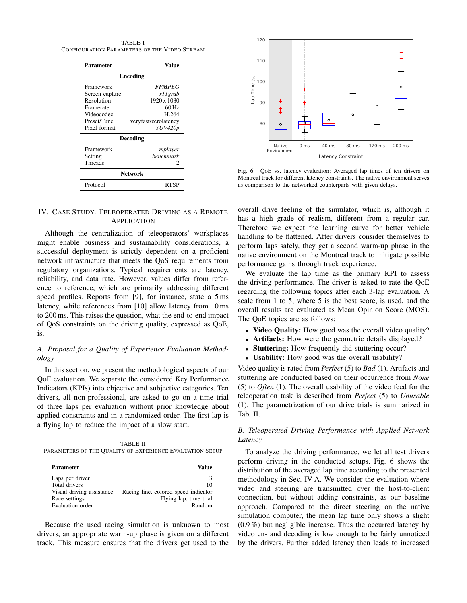TABLE I CONFIGURATION PARAMETERS OF THE VIDEO STREAM

| Parameter      | Value                |  |
|----------------|----------------------|--|
| Encoding       |                      |  |
| Framework      | <b>FFMPEG</b>        |  |
| Screen capture | x11 grab             |  |
| Resolution     | 1920 x 1080          |  |
| Framerate      | 60 Hz                |  |
| Videocodec     | H 264                |  |
| Preset/Tune    | veryfast/zerolatency |  |
| Pixel format   | YUV420p              |  |
|                | Decoding             |  |
| Framework      | mplayer              |  |
| Setting        | <b>benchmark</b>     |  |
| Threads        | 2                    |  |
| <b>Network</b> |                      |  |
| Protocol       | RTSP                 |  |

# IV. CASE STUDY: TELEOPERATED DRIVING AS A REMOTE APPLICATION

Although the centralization of teleoperators' workplaces might enable business and sustainability considerations, a successful deployment is strictly dependent on a proficient network infrastructure that meets the QoS requirements from regulatory organizations. Typical requirements are latency, reliability, and data rate. However, values differ from reference to reference, which are primarily addressing different speed profiles. Reports from [9], for instance, state a 5 ms latency, while references from [10] allow latency from 10 ms to 200 ms. This raises the question, what the end-to-end impact of QoS constraints on the driving quality, expressed as QoE, is.

# *A. Proposal for a Quality of Experience Evaluation Methodology*

In this section, we present the methodological aspects of our QoE evaluation. We separate the considered Key Performance Indicators (KPIs) into objective and subjective categories. Ten drivers, all non-professional, are asked to go on a time trial of three laps per evaluation without prior knowledge about applied constraints and in a randomized order. The first lap is a flying lap to reduce the impact of a slow start.

TABLE II PARAMETERS OF THE QUALITY OF EXPERIENCE EVALUATION SETUP

| Parameter                 | Value                                |
|---------------------------|--------------------------------------|
| Laps per driver           |                                      |
| Total drivers             | 10                                   |
| Visual driving assistance | Racing line, colored speed indicator |
| Race settings             | Flying lap, time trial               |
| Evaluation order          | Random                               |

Because the used racing simulation is unknown to most drivers, an appropriate warm-up phase is given on a different track. This measure ensures that the drivers get used to the



Fig. 6. QoE vs. latency evaluation: Averaged lap times of ten drivers on Montreal track for different latency constraints. The native environment serves as comparison to the networked counterparts with given delays.

overall drive feeling of the simulator, which is, although it has a high grade of realism, different from a regular car. Therefore we expect the learning curve for better vehicle handling to be flattened. After drivers consider themselves to perform laps safely, they get a second warm-up phase in the native environment on the Montreal track to mitigate possible performance gains through track experience.

We evaluate the lap time as the primary KPI to assess the driving performance. The driver is asked to rate the QoE regarding the following topics after each 3-lap evaluation. A scale from 1 to 5, where 5 is the best score, is used, and the overall results are evaluated as Mean Opinion Score (MOS). The QoE topics are as follows:

- Video Quality: How good was the overall video quality?
- Artifacts: How were the geometric details displayed?
- Stuttering: How frequently did stuttering occur?
- Usability: How good was the overall usability?

Video quality is rated from *Perfect* (5) to *Bad* (1). Artifacts and stuttering are conducted based on their occurrence from *None* (5) to *Often* (1). The overall usability of the video feed for the teleoperation task is described from *Perfect* (5) to *Unusable* (1). The parametrization of our drive trials is summarized in Tab. II.

# *B. Teleoperated Driving Performance with Applied Network Latency*

To analyze the driving performance, we let all test drivers perform driving in the conducted setups. Fig. 6 shows the distribution of the averaged lap time according to the presented methodology in Sec. IV-A. We consider the evaluation where video and steering are transmitted over the host-to-client connection, but without adding constraints, as our baseline approach. Compared to the direct steering on the native simulation computer, the mean lap time only shows a slight (0.9 %) but negligible increase. Thus the occurred latency by video en- and decoding is low enough to be fairly unnoticed by the drivers. Further added latency then leads to increased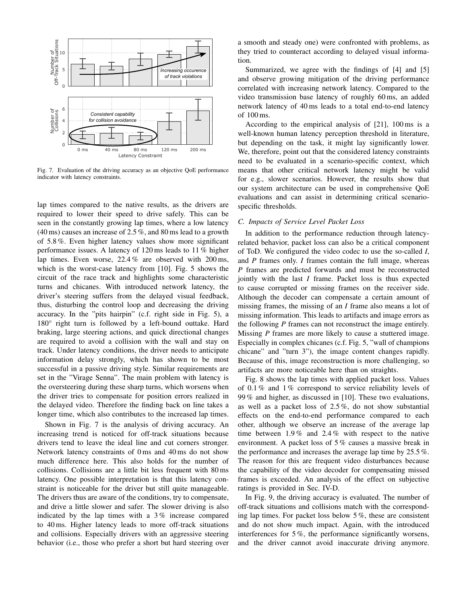

Fig. 7. Evaluation of the driving accuracy as an objective QoE performance indicator with latency constraints.

lap times compared to the native results, as the drivers are required to lower their speed to drive safely. This can be seen in the constantly growing lap times, where a low latency (40 ms) causes an increase of 2.5 %, and 80 ms lead to a growth of 5.8 %. Even higher latency values show more significant performance issues. A latency of 120 ms leads to 11 % higher lap times. Even worse, 22.4 % are observed with 200 ms, which is the worst-case latency from [10]. Fig. 5 shows the circuit of the race track and highlights some characteristic turns and chicanes. With introduced network latency, the driver's steering suffers from the delayed visual feedback, thus, disturbing the control loop and decreasing the driving accuracy. In the "pits hairpin" (c.f. right side in Fig. 5), a 180° right turn is followed by a left-bound outtake. Hard braking, large steering actions, and quick directional changes are required to avoid a collision with the wall and stay on track. Under latency conditions, the driver needs to anticipate information delay strongly, which has shown to be most successful in a passive driving style. Similar requirements are set in the "Virage Senna". The main problem with latency is the oversteering during these sharp turns, which worsens when the driver tries to compensate for position errors realized in the delayed video. Therefore the finding back on line takes a longer time, which also contributes to the increased lap times.

Shown in Fig. 7 is the analysis of driving accuracy. An increasing trend is noticed for off-track situations because drivers tend to leave the ideal line and cut corners stronger. Network latency constraints of 0 ms and 40 ms do not show much difference here. This also holds for the number of collisions. Collisions are a little bit less frequent with 80 ms latency. One possible interpretation is that this latency constraint is noticeable for the driver but still quite manageable. The drivers thus are aware of the conditions, try to compensate, and drive a little slower and safer. The slower driving is also indicated by the lap times with a 3 % increase compared to 40 ms. Higher latency leads to more off-track situations and collisions. Especially drivers with an aggressive steering behavior (i.e., those who prefer a short but hard steering over a smooth and steady one) were confronted with problems, as they tried to counteract according to delayed visual information.

Summarized, we agree with the findings of [4] and [5] and observe growing mitigation of the driving performance correlated with increasing network latency. Compared to the video transmission base latency of roughly 60 ms, an added network latency of 40 ms leads to a total end-to-end latency of 100 ms.

According to the empirical analysis of [21], 100 ms is a well-known human latency perception threshold in literature, but depending on the task, it might lay significantly lower. We, therefore, point out that the considered latency constraints need to be evaluated in a scenario-specific context, which means that other critical network latency might be valid for e.g., slower scenarios. However, the results show that our system architecture can be used in comprehensive QoE evaluations and can assist in determining critical scenariospecific thresholds.

#### *C. Impacts of Service Level Packet Loss*

In addition to the performance reduction through latencyrelated behavior, packet loss can also be a critical component of ToD. We configured the video codec to use the so-called *I*, and *P* frames only. *I* frames contain the full image, whereas *P* frames are predicted forwards and must be reconstructed jointly with the last *I* frame. Packet loss is thus expected to cause corrupted or missing frames on the receiver side. Although the decoder can compensate a certain amount of missing frames, the missing of an *I* frame also means a lot of missing information. This leads to artifacts and image errors as the following *P* frames can not reconstruct the image entirely. Missing *P* frames are more likely to cause a stuttered image. Especially in complex chicanes (c.f. Fig. 5, "wall of champions chicane" and "turn 3"), the image content changes rapidly. Because of this, image reconstruction is more challenging, so artifacts are more noticeable here than on straights.

Fig. 8 shows the lap times with applied packet loss. Values of 0.1 % and 1 % correspond to service reliability levels of 99 % and higher, as discussed in [10]. These two evaluations, as well as a packet loss of 2.5 %, do not show substantial effects on the end-to-end performance compared to each other, although we observe an increase of the average lap time between 1.9 % and 2.4 % with respect to the native environment. A packet loss of 5 % causes a massive break in the performance and increases the average lap time by 25.5 %. The reason for this are frequent video disturbances because the capability of the video decoder for compensating missed frames is exceeded. An analysis of the effect on subjective ratings is provided in Sec. IV-D.

In Fig. 9, the driving accuracy is evaluated. The number of off-track situations and collisions match with the corresponding lap times. For packet loss below 5 %, these are consistent and do not show much impact. Again, with the introduced interferences for 5 %, the performance significantly worsens, and the driver cannot avoid inaccurate driving anymore.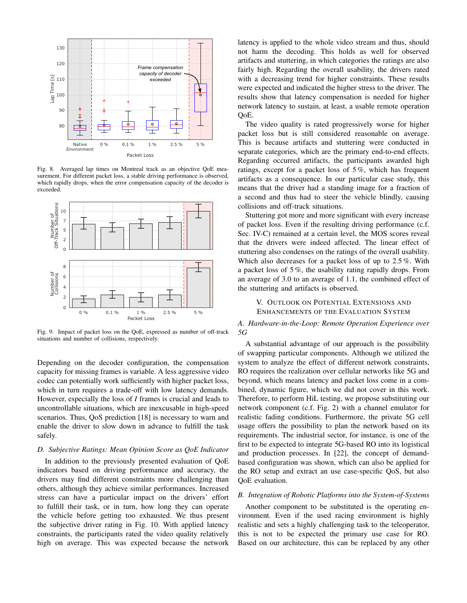

Fig. 8. Averaged lap times on Montreal track as an objective QoE measurement. For different packet loss, a stable driving performance is observed, which rapidly drops, when the error compensation capacity of the decoder is exceeded.



Fig. 9. Impact of packet loss on the QoE, expressed as number of off-track situations and number of collisions, respectively.

Depending on the decoder configuration, the compensation capacity for missing frames is variable. A less aggressive video codec can potentially work sufficiently with higher packet loss, which in turn requires a trade-off with low latency demands. However, especially the loss of *I* frames is crucial and leads to uncontrollable situations, which are inexcusable in high-speed scenarios. Thus, QoS prediction [18] is necessary to warn and enable the driver to slow down in advance to fulfill the task safely.

#### *D. Subjective Ratings: Mean Opinion Score as QoE Indicator*

In addition to the previously presented evaluation of QoE indicators based on driving performance and accuracy, the drivers may find different constraints more challenging than others, although they achieve similar performances. Increased stress can have a particular impact on the drivers' effort to fulfill their task, or in turn, how long they can operate the vehicle before getting too exhausted. We thus present the subjective driver rating in Fig. 10. With applied latency constraints, the participants rated the video quality relatively high on average. This was expected because the network

latency is applied to the whole video stream and thus, should not harm the decoding. This holds as well for observed artifacts and stuttering, in which categories the ratings are also fairly high. Regarding the overall usability, the drivers rated with a decreasing trend for higher constraints. These results were expected and indicated the higher stress to the driver. The results show that latency compensation is needed for higher network latency to sustain, at least, a usable remote operation QoE.

The video quality is rated progressively worse for higher packet loss but is still considered reasonable on average. This is because artifacts and stuttering were conducted in separate categories, which are the primary end-to-end effects. Regarding occurred artifacts, the participants awarded high ratings, except for a packet loss of 5 %, which has frequent artifacts as a consequence. In our particular case study, this means that the driver had a standing image for a fraction of a second and thus had to steer the vehicle blindly, causing collisions and off-track situations.

Stuttering got more and more significant with every increase of packet loss. Even if the resulting driving performance (c.f. Sec. IV-C) remained at a certain level, the MOS scores reveal that the drivers were indeed affected. The linear effect of stuttering also condenses on the ratings of the overall usability. Which also decreases for a packet loss of up to 2.5 %. With a packet loss of 5 %, the usability rating rapidly drops. From an average of 3.0 to an average of 1.1, the combined effect of the stuttering and artifacts is observed.

# V. OUTLOOK ON POTENTIAL EXTENSIONS AND ENHANCEMENTS OF THE EVALUATION SYSTEM

# *A. Hardware-in-the-Loop: Remote Operation Experience over 5G*

A substantial advantage of our approach is the possibility of swapping particular components. Although we utilized the system to analyze the effect of different network constraints, RO requires the realization over cellular networks like 5G and beyond, which means latency and packet loss come in a combined, dynamic figure, which we did not cover in this work. Therefore, to perform HiL testing, we propose substituting our network component (c.f. Fig. 2) with a channel emulator for realistic fading conditions. Furthermore, the private 5G cell usage offers the possibility to plan the network based on its requirements. The industrial sector, for instance, is one of the first to be expected to integrate 5G-based RO into its logistical and production processes. In [22], the concept of demandbased configuration was shown, which can also be applied for the RO setup and extract an use case-specific QoS, but also QoE evaluation.

#### *B. Integration of Robotic Platforms into the System-of-Systems*

Another component to be substituted is the operating environment. Even if the used racing environment is highly realistic and sets a highly challenging task to the teleoperator, this is not to be expected the primary use case for RO. Based on our architecture, this can be replaced by any other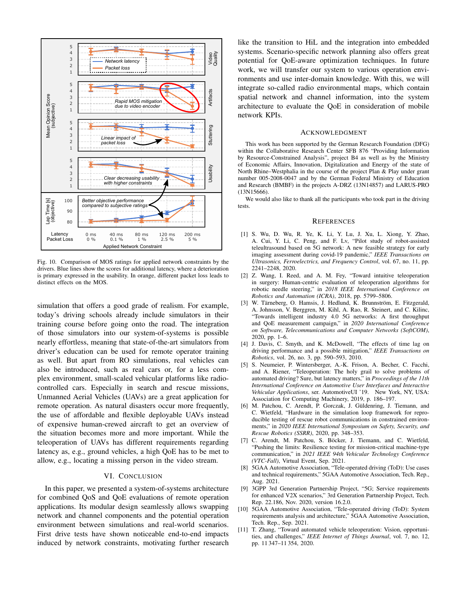

Fig. 10. Comparison of MOS ratings for applied network constraints by the drivers. Blue lines show the scores for additional latency, where a deterioration is primary expressed in the usability. In orange, different packet loss leads to distinct effects on the MOS.

simulation that offers a good grade of realism. For example, today's driving schools already include simulators in their training course before going onto the road. The integration of those simulators into our system-of-systems is possible nearly effortless, meaning that state-of-the-art simulators from driver's education can be used for remote operator training as well. But apart from RO simulations, real vehicles can also be introduced, such as real cars or, for a less complex environment, small-scaled vehicular platforms like radiocontrolled cars. Especially in search and rescue missions, Unmanned Aerial Vehicles (UAVs) are a great application for remote operation. As natural disasters occur more frequently, the use of affordable and flexible deployable UAVs instead of expensive human-crewed aircraft to get an overview of the situation becomes more and more important. While the teleoperation of UAVs has different requirements regarding latency as, e.g., ground vehicles, a high QoE has to be met to allow, e.g., locating a missing person in the video stream.

### VI. CONCLUSION

In this paper, we presented a system-of-systems architecture for combined QoS and QoE evaluations of remote operation applications. Its modular design seamlessly allows swapping network and channel components and the potential operation environment between simulations and real-world scenarios. First drive tests have shown noticeable end-to-end impacts induced by network constraints, motivating further research

like the transition to HiL and the integration into embedded systems. Scenario-specific network planning also offers great potential for QoE-aware optimization techniques. In future work, we will transfer our system to various operation environments and use inter-domain knowledge. With this, we will integrate so-called radio environmental maps, which contain spatial network and channel information, into the system architecture to evaluate the QoE in consideration of mobile network KPIs.

#### ACKNOWLEDGMENT

This work has been supported by the German Research Foundation (DFG) within the Collaborative Research Center SFB 876 "Providing Information by Resource-Constrained Analysis", project B4 as well as by the Ministry of Economic Affairs, Innovation, Digitalization and Energy of the state of North Rhine–Westphalia in the course of the project Plan & Play under grant number 005-2008-0047 and by the German Federal Ministry of Education and Research (BMBF) in the projects A-DRZ (13N14857) and LARUS-PRO (13N15666).

We would also like to thank all the participants who took part in the driving tests.

#### **REFERENCES**

- [1] S. Wu, D. Wu, R. Ye, K. Li, Y. Lu, J. Xu, L. Xiong, Y. Zhao, A. Cui, Y. Li, C. Peng, and F. Lv, "Pilot study of robot-assisted teleultrasound based on 5G network: A new feasible strategy for early imaging assessment during covid-19 pandemic," *IEEE Transactions on Ultrasonics, Ferroelectrics, and Frequency Control*, vol. 67, no. 11, pp. 2241–2248, 2020.
- [2] Z. Wang, I. Reed, and A. M. Fey, "Toward intuitive teleoperation in surgery: Human-centric evaluation of teleoperation algorithms for robotic needle steering," in *2018 IEEE International Conference on Robotics and Automation (ICRA)*, 2018, pp. 5799–5806.
- [3] W. Tärneberg, O. Hamsis, J. Hedlund, K. Brunnström, E. Fitzgerald, A. Johnsson, V. Berggren, M. Kihl, A. Rao, R. Steinert, and C. Kilinc, "Towards intelligent industry 4.0 5G networks: A first throughput and QoE measurement campaign," in *2020 International Conference on Software, Telecommunications and Computer Networks (SoftCOM)*, 2020, pp. 1–6.
- [4] J. Davis, C. Smyth, and K. McDowell, "The effects of time lag on driving performance and a possible mitigation," *IEEE Transactions on Robotics*, vol. 26, no. 3, pp. 590–593, 2010.
- [5] S. Neumeier, P. Wintersberger, A.-K. Frison, A. Becher, C. Facchi, and A. Riener, "Teleoperation: The holy grail to solve problems of automated driving? Sure, but latency matters," in *Proceedings of the 11th International Conference on Automotive User Interfaces and Interactive Vehicular Applications*, ser. AutomotiveUI '19. New York, NY, USA: Association for Computing Machinery, 2019, p. 186–197.
- [6] M. Patchou, C. Arendt, P. Gorczak, J. Güldenring, J. Tiemann, and C. Wietfeld, "Hardware in the simulation loop framework for reproducible testing of rescue robot communications in constrained environments," in *2020 IEEE International Symposium on Safety, Security, and Rescue Robotics (SSRR)*, 2020, pp. 348–353.
- [7] C. Arendt, M. Patchou, S. Böcker, J. Tiemann, and C. Wietfeld, "Pushing the limits: Resilience testing for mission-critical machine-type communication," in *2021 IEEE 94th Vehicular Technology Conference (VTC-Fall)*, Virtual Event, Sep. 2021.
- [8] 5GAA Automotive Association, "Tele-operated driving (ToD): Use cases and technical requirements," 5GAA Automotive Association, Tech. Rep., Aug. 2021.
- [9] 3GPP 3rd Generation Partnership Project, "5G; Service requirements for enhanced V2X scenarios," 3rd Generation Partnership Project, Tech. Rep. 22.186, Nov. 2020, version 16.2.0.
- [10] 5GAA Automotive Association, "Tele-operated driving (ToD): System requirements analysis and architecture," 5GAA Automotive Association, Tech. Rep., Sep. 2021.
- [11] T. Zhang, "Toward automated vehicle teleoperation: Vision, opportunities, and challenges," *IEEE Internet of Things Journal*, vol. 7, no. 12, pp. 11 347–11 354, 2020.